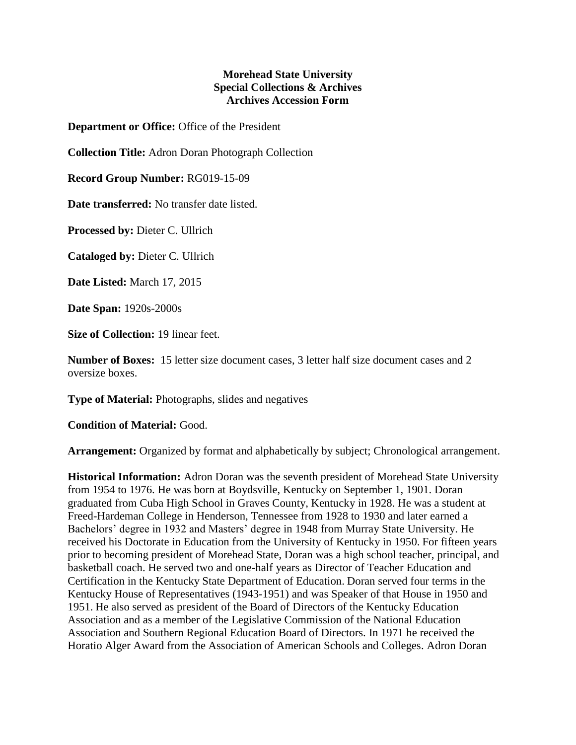## **Morehead State University Special Collections & Archives Archives Accession Form**

**Department or Office:** Office of the President

**Collection Title:** Adron Doran Photograph Collection

**Record Group Number:** RG019-15-09

**Date transferred:** No transfer date listed.

**Processed by:** Dieter C. Ullrich

**Cataloged by:** Dieter C. Ullrich

**Date Listed:** March 17, 2015

**Date Span:** 1920s-2000s

**Size of Collection:** 19 linear feet.

**Number of Boxes:** 15 letter size document cases, 3 letter half size document cases and 2 oversize boxes.

**Type of Material:** Photographs, slides and negatives

**Condition of Material:** Good.

**Arrangement:** Organized by format and alphabetically by subject; Chronological arrangement.

**Historical Information:** Adron Doran was the seventh president of Morehead State University from 1954 to 1976. He was born at Boydsville, Kentucky on September 1, 1901. Doran graduated from Cuba High School in Graves County, Kentucky in 1928. He was a student at Freed-Hardeman College in Henderson, Tennessee from 1928 to 1930 and later earned a Bachelors' degree in 1932 and Masters' degree in 1948 from Murray State University. He received his Doctorate in Education from the University of Kentucky in 1950. For fifteen years prior to becoming president of Morehead State, Doran was a high school teacher, principal, and basketball coach. He served two and one-half years as Director of Teacher Education and Certification in the Kentucky State Department of Education. Doran served four terms in the Kentucky House of Representatives (1943-1951) and was Speaker of that House in 1950 and 1951. He also served as president of the Board of Directors of the Kentucky Education Association and as a member of the Legislative Commission of the National Education Association and Southern Regional Education Board of Directors. In 1971 he received the Horatio Alger Award from the Association of American Schools and Colleges. Adron Doran